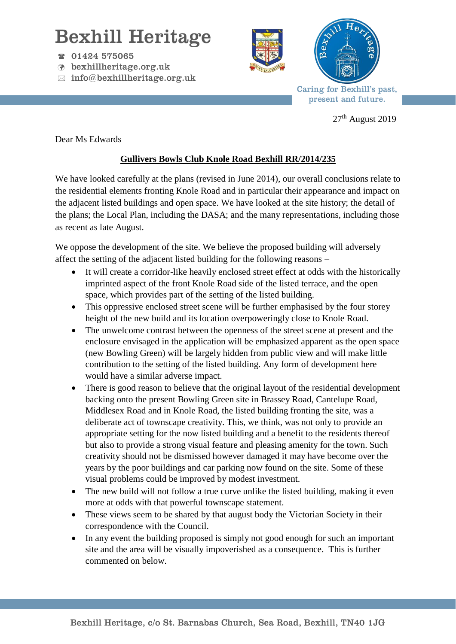## Bexhill Heritage

- $\textcircled{r}$  01424 575065
- bexhillheritage.org.uk
- $\boxtimes$  info@bexhillheritage.org.uk





Caring for Bexhill's past, present and future.

 $27<sup>th</sup>$  August 2019

Dear Ms Edwards

## **Gullivers Bowls Club Knole Road Bexhill RR/2014/235**

We have looked carefully at the plans (revised in June 2014), our overall conclusions relate to the residential elements fronting Knole Road and in particular their appearance and impact on the adjacent listed buildings and open space. We have looked at the site history; the detail of the plans; the Local Plan, including the DASA; and the many representations, including those as recent as late August.

We oppose the development of the site. We believe the proposed building will adversely affect the setting of the adjacent listed building for the following reasons –

- It will create a corridor-like heavily enclosed street effect at odds with the historically imprinted aspect of the front Knole Road side of the listed terrace, and the open space, which provides part of the setting of the listed building.
- This oppressive enclosed street scene will be further emphasised by the four storey height of the new build and its location overpoweringly close to Knole Road.
- The unwelcome contrast between the openness of the street scene at present and the enclosure envisaged in the application will be emphasized apparent as the open space (new Bowling Green) will be largely hidden from public view and will make little contribution to the setting of the listed building. Any form of development here would have a similar adverse impact.
- There is good reason to believe that the original layout of the residential development backing onto the present Bowling Green site in Brassey Road, Cantelupe Road, Middlesex Road and in Knole Road, the listed building fronting the site, was a deliberate act of townscape creativity. This, we think, was not only to provide an appropriate setting for the now listed building and a benefit to the residents thereof but also to provide a strong visual feature and pleasing amenity for the town. Such creativity should not be dismissed however damaged it may have become over the years by the poor buildings and car parking now found on the site. Some of these visual problems could be improved by modest investment.
- The new build will not follow a true curve unlike the listed building, making it even more at odds with that powerful townscape statement.
- These views seem to be shared by that august body the Victorian Society in their correspondence with the Council.
- In any event the building proposed is simply not good enough for such an important site and the area will be visually impoverished as a consequence. This is further commented on below.